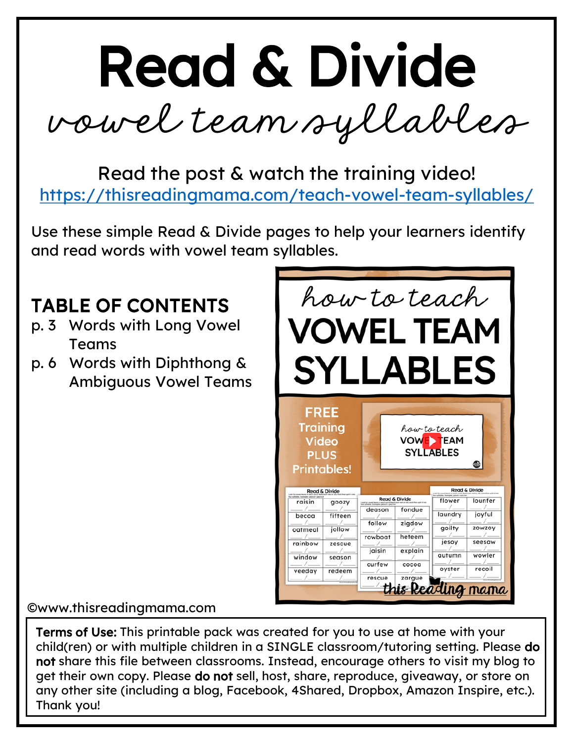vowel team syllables

Read the post & watch the training video! <https://thisreadingmama.com/teach-vowel-team-syllables/>

Use these simple Read & Divide pages to help your learners identify and read words with vowel team syllables.

#### TABLE OF CONTENTS

- p. 3 Words with Long Vowel Teams
- p. 6 Words with Diphthong & Ambiguous Vowel Teams



#### ©www.thisreadingmama.com

Terms of Use: This printable pack was created for you to use at home with your child(ren) or with multiple children in a SINGLE classroom/tutoring setting. Please do not share this file between classrooms. Instead, encourage others to visit my blog to get their own copy. Please do not sell, host, share, reproduce, giveaway, or store on any other site (including a blog, Facebook, 4Shared, Dropbox, Amazon Inspire, etc.). Thank you!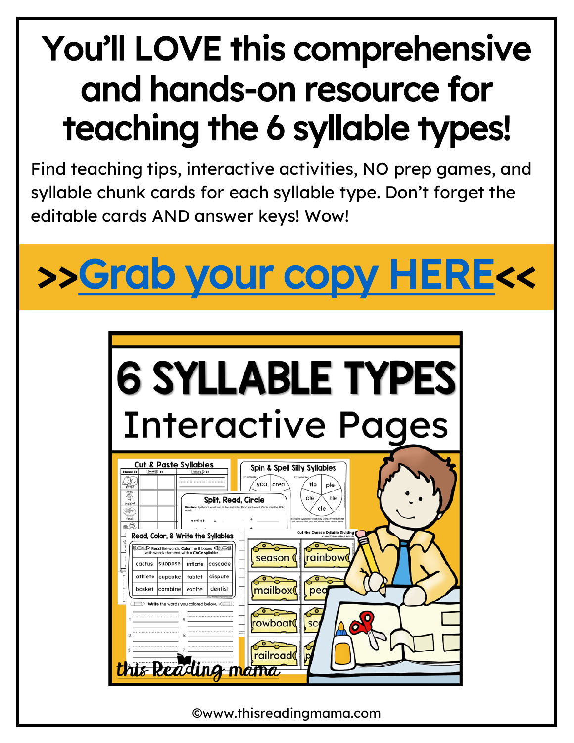#### You'll LOVE this comprehensive and hands-on resource for teaching the 6 syllable types!

Find teaching tips, interactive activities, NO prep games, and syllable chunk cards for each syllable type. Don't forget the editable cards AND answer keys! Wow!



| <b>6 SYLLABLE TYPES</b><br><b>Interactive Pages</b>                                                                                                                                                                                                                                                                                                                                                                                                                                |
|------------------------------------------------------------------------------------------------------------------------------------------------------------------------------------------------------------------------------------------------------------------------------------------------------------------------------------------------------------------------------------------------------------------------------------------------------------------------------------|
| <b>Cut &amp; Paste Syllables</b><br>Spin & Spell Silly Syllables<br><b>GLUE</b> 11<br><b>WRITE</b> D In<br><b>Nome It</b><br>yoo   crea<br>tle<br>ple<br>kitter<br>暮<br>dle<br>fle<br><b>Split, Read, Circle</b><br>puppet<br>cle<br>త్రం<br>words<br>fossil<br>and subship of posts ally word, wides the first<br>artist<br>cond line, and the entire word on the final<br>.6<br>Cut the Cheese Syllable Dividing<br>Read, Color, & Write the Syllables<br>Vowel Team - Real Word |
| Read the words. Color the 8 boxes <<br>with words that end with a CVCe syllable.<br>rainbow<br>season<br>suppose<br>cactus<br>inflate<br>cascade<br>athlete<br>cupcake<br>tablet<br>dispute<br>basket  combine<br>dentist<br>excite<br>mailbox<br>pec<br>$\Rightarrow$ Write the words you colored below. $\triangleleft$                                                                                                                                                          |
| rowboat<br>SC<br>railroadı<br>is Read                                                                                                                                                                                                                                                                                                                                                                                                                                              |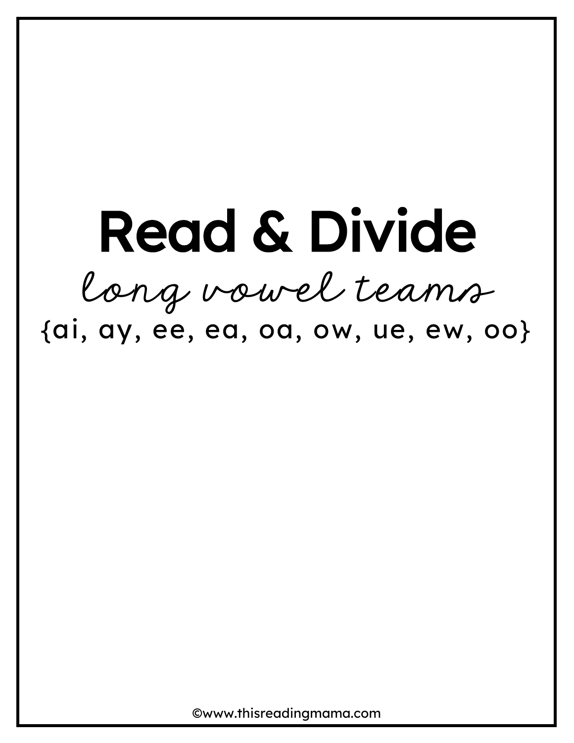### Read & Divide long vowel teams {ai, ay, ee, ea, oa, ow, ue, ew, oo}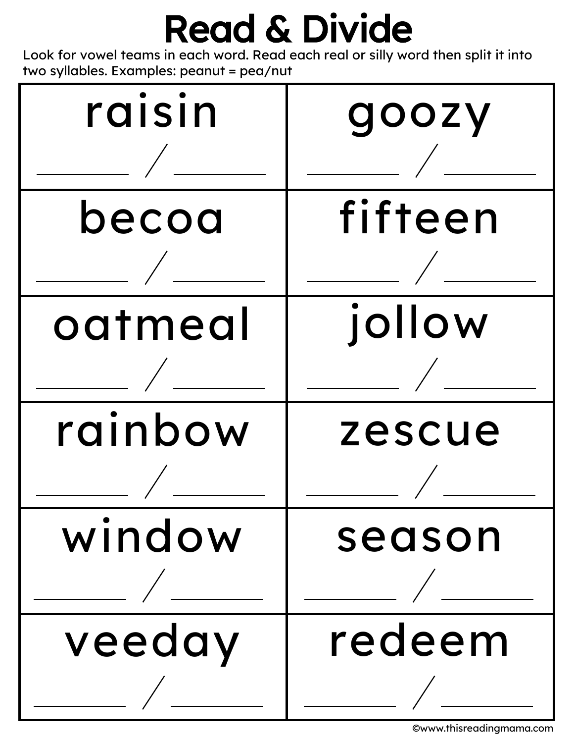Look for vowel teams in each word. Read each real or silly word then split it into two syllables. Examples: peanut = pea/nut

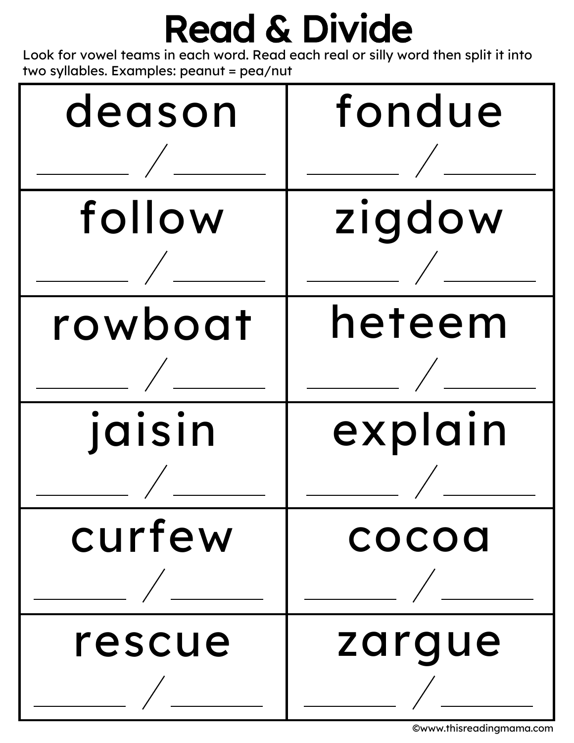Look for vowel teams in each word. Read each real or silly word then split it into two syllables. Examples: peanut = pea/nut

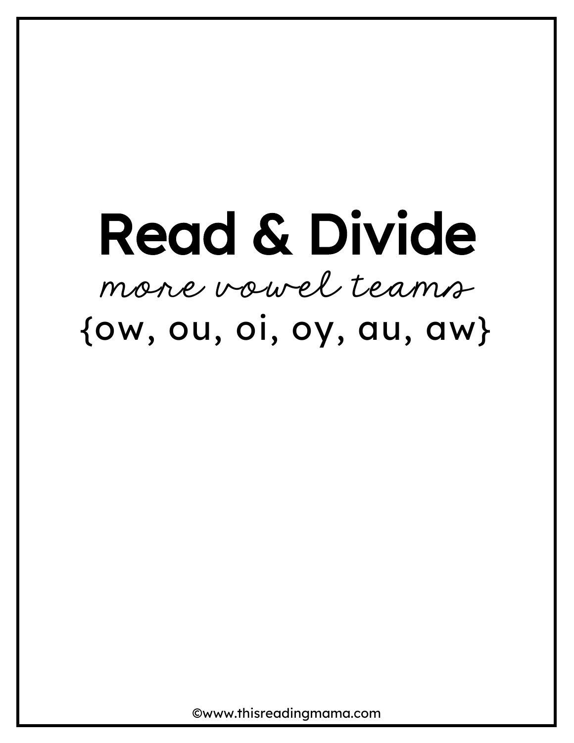## Read & Divide more vowel teams  $\{ow, ou, oo, oy, au, aw\}$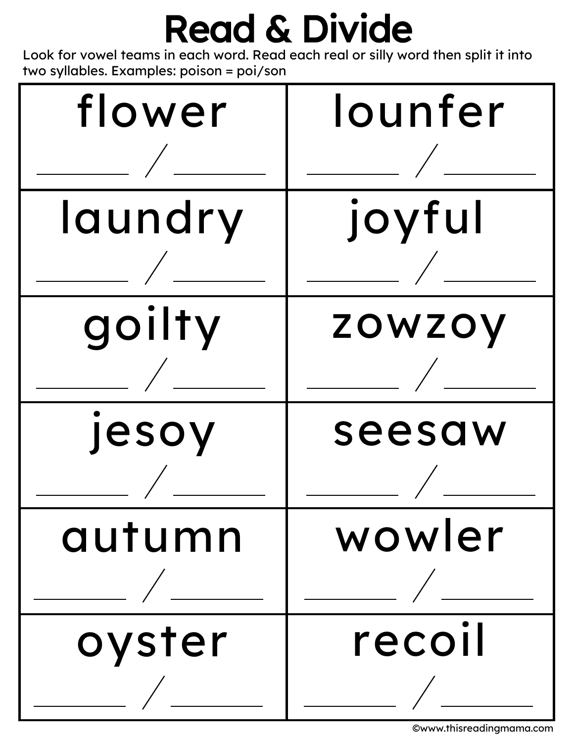Look for vowel teams in each word. Read each real or silly word then split it into two syllables. Examples: poison = poi/son

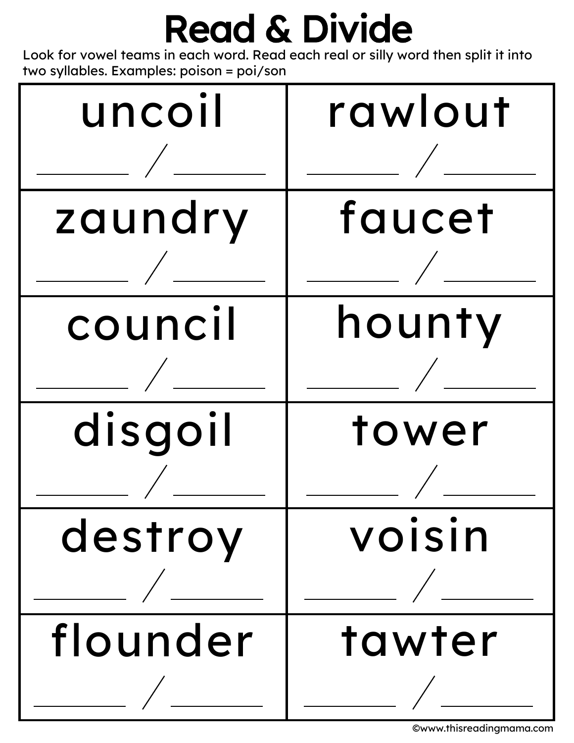Look for vowel teams in each word. Read each real or silly word then split it into two syllables. Examples: poison = poi/son



<sup>©</sup>www.thisreadingmama.com